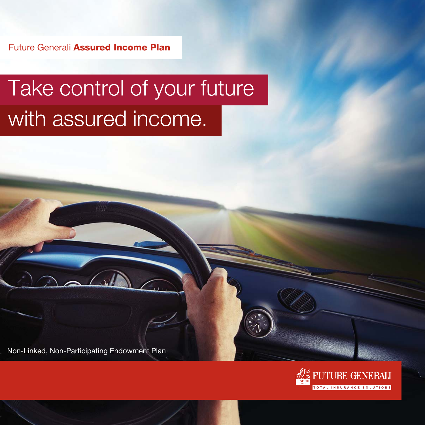Future Generali **Assured Income Plan**

# Take control of your future with assured income.

Non-Linked, Non-Participating Endowment Plan

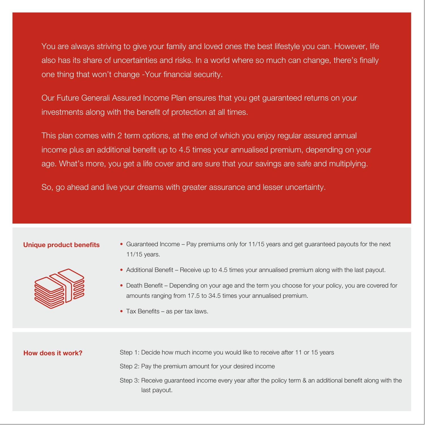You are always striving to give your family and loved ones the best lifestyle you can. However, life also has its share of uncertainties and risks. In a world where so much can change, there's finally one thing that won't change -Your financial security.

Our Future Generali Assured Income Plan ensures that you get guaranteed returns on your investments along with the benefit of protection at all times.

This plan comes with 2 term options, at the end of which you enjoy regular assured annual income plus an additional benefit up to 4.5 times your annualised premium, depending on your age. What's more, you get a life cover and are sure that your savings are safe and multiplying.

So, go ahead and live your dreams with greater assurance and lesser uncertainty.

#### **Unique product benefits**



- Guaranteed Income Pay premiums only for 11/15 years and get guaranteed payouts for the next 11/15 years.
- Additional Benefit Receive up to 4.5 times your annualised premium along with the last payout.
- Death Benefit Depending on your age and the term you choose for your policy, you are covered for amounts ranging from 17.5 to 34.5 times your annualised premium.
- Tax Benefits as per tax laws.

# **How does it work?**

Step 1: Decide how much income you would like to receive after 11 or 15 years

Step 2: Pay the premium amount for your desired income

Step 3: Receive guaranteed income every year after the policy term & an additional benefit along with the last payout.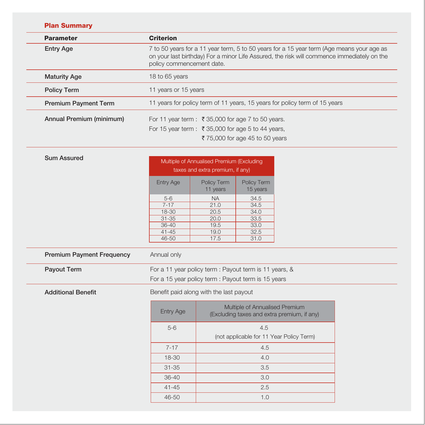| <b>Parameter</b>            | <b>Criterion</b>                                                                                                                                                                                                     |                                                    |                                |  |
|-----------------------------|----------------------------------------------------------------------------------------------------------------------------------------------------------------------------------------------------------------------|----------------------------------------------------|--------------------------------|--|
| <b>Entry Age</b>            | 7 to 50 years for a 11 year term, 5 to 50 years for a 15 year term (Age means your age as<br>on your last birthday) For a minor Life Assured, the risk will commence immediately on the<br>policy commencement date. |                                                    |                                |  |
| <b>Maturity Age</b>         | 18 to 65 years                                                                                                                                                                                                       |                                                    |                                |  |
| <b>Policy Term</b>          | 11 years or 15 years                                                                                                                                                                                                 |                                                    |                                |  |
| <b>Premium Payment Term</b> | 11 years for policy term of 11 years, 15 years for policy term of 15 years                                                                                                                                           |                                                    |                                |  |
| Annual Premium (minimum)    | For 11 year term : ₹ 35,000 for age 7 to 50 years.                                                                                                                                                                   |                                                    |                                |  |
|                             |                                                                                                                                                                                                                      | For 15 year term : ₹ 35,000 for age 5 to 44 years, |                                |  |
|                             |                                                                                                                                                                                                                      |                                                    | ₹75,000 for age 45 to 50 years |  |
| <b>Sum Assured</b>          |                                                                                                                                                                                                                      | Multiple of Annualised Premium (Excluding          |                                |  |
|                             |                                                                                                                                                                                                                      | taxes and extra premium, if any)                   |                                |  |
|                             | <b>Entry Age</b>                                                                                                                                                                                                     | Policy Term<br>11 years                            | Policy Term<br>15 years        |  |
|                             | $5-6$                                                                                                                                                                                                                | <b>NA</b>                                          | 34.5                           |  |
|                             | $7 - 17$                                                                                                                                                                                                             | 21.0                                               | 34.5                           |  |

| $7 - 17$    | 21.0 | 34.5 |
|-------------|------|------|
| 18-30       | 20.5 | 34.0 |
| $31 - 35$   | 20.0 | 33.5 |
| $36 - 40$   | 19.5 | 33.0 |
| $41 - 45$   | 19.0 | 32.5 |
| 46-50       | 17.5 | 31.0 |
|             |      |      |
| Annual only |      |      |

| <b>Premium Payment Frequency</b> | Annual |
|----------------------------------|--------|
|                                  |        |

**Payout Term**

For a 11 year policy term : Payout term is 11 years, & For a 15 year policy term : Payout term is 15 years

**Additional Benefit**

Benefit paid along with the last payout

| <b>Entry Age</b> | Multiple of Annualised Premium<br>(Excluding taxes and extra premium, if any) |
|------------------|-------------------------------------------------------------------------------|
| $5 - 6$          | 4.5<br>(not applicable for 11 Year Policy Term)                               |
| $7 - 17$         | 4.5                                                                           |
| 18-30            | 4.0                                                                           |
| $31 - 35$        | 3.5                                                                           |
| $36 - 40$        | 3.0                                                                           |
| $41 - 45$        | 2.5                                                                           |
| 46-50            | 1.0                                                                           |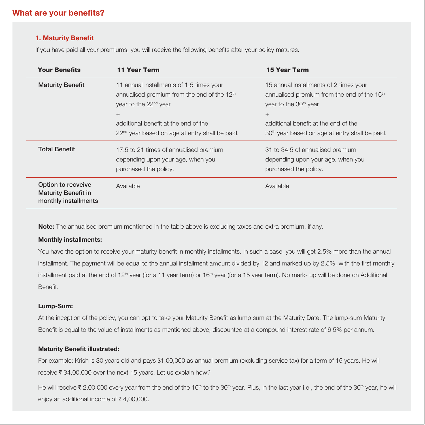# **What are your benefits?**

#### **1. Maturity Benefit**

If you have paid all your premiums, you will receive the following benefits after your policy matures.

| <b>Your Benefits</b>                                                     | <b>11 Year Term</b>                                                                                                                                                                                                                                      | <b>15 Year Term</b>                                                                                                                                                                                                                                 |
|--------------------------------------------------------------------------|----------------------------------------------------------------------------------------------------------------------------------------------------------------------------------------------------------------------------------------------------------|-----------------------------------------------------------------------------------------------------------------------------------------------------------------------------------------------------------------------------------------------------|
| <b>Maturity Benefit</b>                                                  | 11 annual installments of 1.5 times your<br>annualised premium from the end of the 12 <sup>th</sup><br>year to the 22 <sup>nd</sup> year<br>$^{+}$<br>additional benefit at the end of the<br>22 <sup>nd</sup> year based on age at entry shall be paid. | 15 annual installments of 2 times your<br>annualised premium from the end of the 16 <sup>th</sup><br>year to the 30 <sup>th</sup> year<br>$+$<br>additional benefit at the end of the<br>30 <sup>th</sup> year based on age at entry shall be paid. |
| <b>Total Benefit</b>                                                     | 17.5 to 21 times of annualised premium<br>depending upon your age, when you<br>purchased the policy.                                                                                                                                                     | 31 to 34.5 of annualised premium<br>depending upon your age, when you<br>purchased the policy.                                                                                                                                                      |
| Option to recveive<br><b>Maturity Benefit in</b><br>monthly installments | Available                                                                                                                                                                                                                                                | Available                                                                                                                                                                                                                                           |

**Note:** The annualised premium mentioned in the table above is excluding taxes and extra premium, if any.

#### **Monthly installments:**

You have the option to receive your maturity benefit in monthly installments. In such a case, you will get 2.5% more than the annual installment. The payment will be equal to the annual installment amount divided by 12 and marked up by 2.5%, with the first monthly installment paid at the end of 12<sup>th</sup> year (for a 11 year term) or 16<sup>th</sup> year (for a 15 year term). No mark- up will be done on Additional Benefit.

#### **Lump-Sum:**

At the inception of the policy, you can opt to take your Maturity Benefit as lump sum at the Maturity Date. The lump-sum Maturity Benefit is equal to the value of installments as mentioned above, discounted at a compound interest rate of 6.5% per annum.

#### **Maturity Benefit illustrated:**

For example: Krish is 30 years old and pays \$1,00,000 as annual premium (excluding service tax) for a term of 15 years. He will receive  $\bar{\tau}$  34,00,000 over the next 15 years. Let us explain how?

He will receive  $\bar{\tau}$  2,00,000 every year from the end of the 16<sup>th</sup> to the 30<sup>th</sup> year. Plus, in the last year i.e., the end of the 30<sup>th</sup> year, he will enjoy an additional income of  $\bar{\tau}$  4,00,000.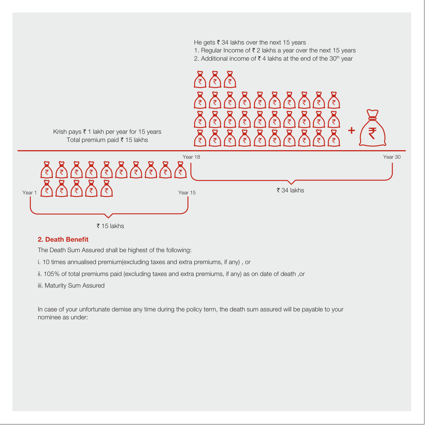

# **2. Death Benefit**

The Death Sum Assured shall be highest of the following:

i. 10 times annualised premium(excluding taxes and extra premiums, if any) , or

ii. 105% of total premiums paid (excluding taxes and extra premiums, if any) as on date of death ,or

iii. Maturity Sum Assured

In case of your unfortunate demise any time during the policy term, the death sum assured will be payable to your nominee as under: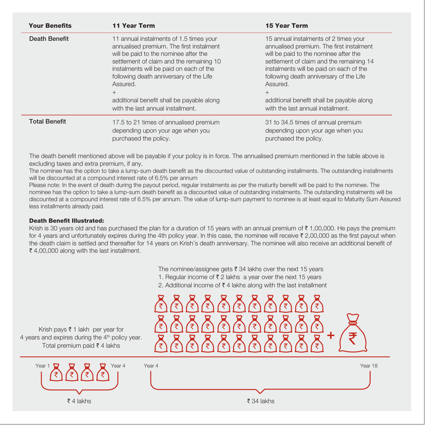| <b>Your Benefits</b> | <b>11 Year Term</b>                                                                                                                                                                                                                                                                                                                                                    | <b>15 Year Term</b>                                                                                                                                                                                                                                                                                                                                               |
|----------------------|------------------------------------------------------------------------------------------------------------------------------------------------------------------------------------------------------------------------------------------------------------------------------------------------------------------------------------------------------------------------|-------------------------------------------------------------------------------------------------------------------------------------------------------------------------------------------------------------------------------------------------------------------------------------------------------------------------------------------------------------------|
| Death Benefit        | 11 annual instalments of 1.5 times your<br>annualised premium. The first instalment<br>will be paid to the nominee after the<br>settlement of claim and the remaining 10<br>instalments will be paid on each of the<br>following death anniversary of the Life<br>Assured.<br>$^{+}$<br>additional benefit shall be payable along<br>with the last annual installment. | 15 annual instalments of 2 times your<br>annualised premium. The first instalment<br>will be paid to the nominee after the<br>settlement of claim and the remaining 14<br>instalments will be paid on each of the<br>following death anniversary of the Life<br>Assured.<br>$+$<br>additional benefit shall be payable along<br>with the last annual installment. |
| <b>Total Benefit</b> | 17.5 to 21 times of annualised premium<br>depending upon your age when you<br>purchased the policy.                                                                                                                                                                                                                                                                    | 31 to 34.5 times of annual premium<br>depending upon your age when you<br>purchased the policy.                                                                                                                                                                                                                                                                   |

The death benefit mentioned above will be payable if your policy is in force. The annualised premium mentioned in the table above is excluding taxes and extra premium, if any.

The nominee has the option to take a lump-sum death benefit as the discounted value of outstanding installments. The outstanding installments will be discounted at a compound interest rate of 6.5% per annum

Please note: In the event of death during the payout period, regular instalments as per the maturity benefit will be paid to the nominee. The nominee has the option to take a lump-sum death benefit as a discounted value of outstanding instalments. The outstanding instalments will be discounted at a compound interest rate of 6.5% per annum. The value of lump-sum payment to nominee is at least equal to Maturity Sum Assured less installments already paid.

#### **Death Benefit Illustrated:**

Krish is 30 years old and has purchased the plan for a duration of 15 years with an annual premium of  $\bar{\tau}$  1,00,000. He pays the premium for 4 years and unfortunately expires during the 4th policy year. In this case, the nominee will receive ₹ 2,00,000 as the first payout when the death claim is settled and thereafter for 14 years on Krish's death anniversary. The nominee will also receive an additional benefit of  $\bar{\tau}$  4,00,000 along with the last installment.

The nominee/assignee gets  $\bar{\tau}$  34 lakhs over the next 15 years

- 1. Regular income of  $\bar{\tau}$  2 lakhs a year over the next 15 years
- 2. Additional income of  $\bar{\tau}$  4 lakhs along with the last installment

Krish pays  $\bar{\tau}$  1 lakh per year for 4 years and expires during the 4<sup>th</sup> policy year. Total premium paid  $\bar{\tau}$  4 lakhs



| Year $1 \n\mathbf{Q}$<br>ဗ<br>Year 4<br>≔ | Year 4                     | Year 18 |
|-------------------------------------------|----------------------------|---------|
| $\bar{z}$ 4 lakhs                         | $\overline{\tau}$ 34 lakhs |         |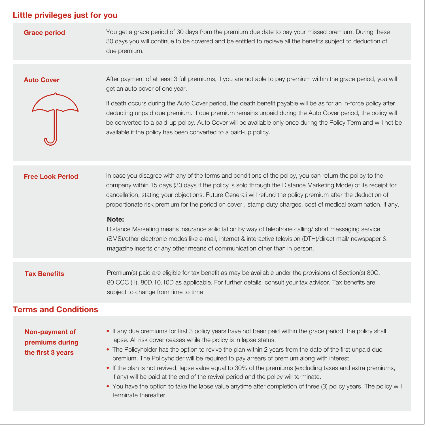# **Little privileges just for you**

**Grace period**

You get a grace period of 30 days from the premium due date to pay your missed premium. During these 30 days you will continue to be covered and be entitled to recieve all the benefits subject to deduction of due premium.

#### **Auto Cover**



After payment of at least 3 full premiums, if you are not able to pay premium within the grace period, you will get an auto cover of one year.

If death occurs during the Auto Cover period, the death benefit payable will be as for an in-force policy after deducting unpaid due premium. If due premium remains unpaid during the Auto Cover period, the policy will be converted to a paid-up policy. Auto Cover will be available only once during the Policy Term and will not be available if the policy has been converted to a paid-up policy.

| <b>Free Look Period</b>                                | In case you disagree with any of the terms and conditions of the policy, you can return the policy to the<br>company within 15 days (30 days if the policy is sold through the Distance Marketing Mode) of its receipt for<br>cancellation, stating your objections. Future Generali will refund the policy premium after the deduction of<br>proportionate risk premium for the period on cover, stamp duty charges, cost of medical examination, if any.<br>Note:<br>Distance Marketing means insurance solicitation by way of telephone calling/short messaging service<br>(SMS)/other electronic modes like e-mail, internet & interactive television (DTH)/direct mail/ newspaper &<br>magazine inserts or any other means of communication other than in person. |
|--------------------------------------------------------|------------------------------------------------------------------------------------------------------------------------------------------------------------------------------------------------------------------------------------------------------------------------------------------------------------------------------------------------------------------------------------------------------------------------------------------------------------------------------------------------------------------------------------------------------------------------------------------------------------------------------------------------------------------------------------------------------------------------------------------------------------------------|
| <b>Tax Benefits</b>                                    | Premium(s) paid are eligible for tax benefit as may be available under the provisions of Section(s) 80C,<br>80 CCC (1), 80D, 10.10D as applicable. For further details, consult your tax advisor. Tax benefits are<br>subject to change from time to time                                                                                                                                                                                                                                                                                                                                                                                                                                                                                                              |
| <b>Terms and Conditions</b>                            |                                                                                                                                                                                                                                                                                                                                                                                                                                                                                                                                                                                                                                                                                                                                                                        |
| Non-payment of<br>premiums during<br>the first 3 years | • If any due premiums for first 3 policy years have not been paid within the grace period, the policy shall<br>lapse. All risk cover ceases while the policy is in lapse status.<br>• The Policyholder has the option to revive the plan within 2 years from the date of the first unpaid due<br>premium. The Policyholder will be required to pay arrears of premium along with interest.<br>• If the plan is not revived, lapse value equal to 30% of the premiums (excluding taxes and extra premiums,<br>if any) will be paid at the end of the revival period and the policy will terminate.<br>• You have the option to take the lapse value anytime after completion of three (3) policy years. The policy will<br>terminate thereafter.                        |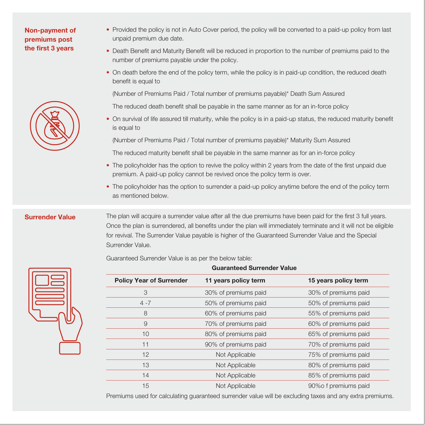# **Non-payment of premiums post the first 3 years**



- Provided the policy is not in Auto Cover period, the policy will be converted to a paid-up policy from last unpaid premium due date.
- Death Benefit and Maturity Benefit will be reduced in proportion to the number of premiums paid to the number of premiums payable under the policy.
- On death before the end of the policy term, while the policy is in paid-up condition, the reduced death benefit is equal to

(Number of Premiums Paid / Total number of premiums payable)\* Death Sum Assured

The reduced death benefit shall be payable in the same manner as for an in-force policy

• On survival of life assured till maturity, while the policy is in a paid-up status, the reduced maturity benefit is equal to

(Number of Premiums Paid / Total number of premiums payable)\* Maturity Sum Assured

The reduced maturity benefit shall be payable in the same manner as for an in-force policy

- The policyholder has the option to revive the policy within 2 years from the date of the first unpaid due premium. A paid-up policy cannot be revived once the policy term is over.
- The policyholder has the option to surrender a paid-up policy anytime before the end of the policy term as mentioned below.

### **Surrender Value**

The plan will acquire a surrender value after all the due premiums have been paid for the first 3 full years. Once the plan is surrendered, all benefits under the plan will immediately terminate and it will not be eligible for revival. The Surrender Value payable is higher of the Guaranteed Surrender Value and the Special Surrender Value.

**Guaranteed Surrender Value**

Guaranteed Surrender Value is as per the below table:



|                                 | auaranteea oan enacrivatae |                      |
|---------------------------------|----------------------------|----------------------|
| <b>Policy Year of Surrender</b> | 11 years policy term       | 15 years policy term |
| 3                               | 30% of premiums paid       | 30% of premiums paid |
| $4 - 7$                         | 50% of premiums paid       | 50% of premiums paid |
| 8                               | 60% of premiums paid       | 55% of premiums paid |
| 9                               | 70% of premiums paid       | 60% of premiums paid |
| 10                              | 80% of premiums paid       | 65% of premiums paid |
| 11                              | 90% of premiums paid       | 70% of premiums paid |
| 12                              | Not Applicable             | 75% of premiums paid |
| 13                              | Not Applicable             | 80% of premiums paid |
| 14                              | Not Applicable             | 85% of premiums paid |
| 15                              | Not Applicable             | 90% of premiums paid |
|                                 |                            |                      |

Premiums used for calculating guaranteed surrender value will be excluding taxes and any extra premiums.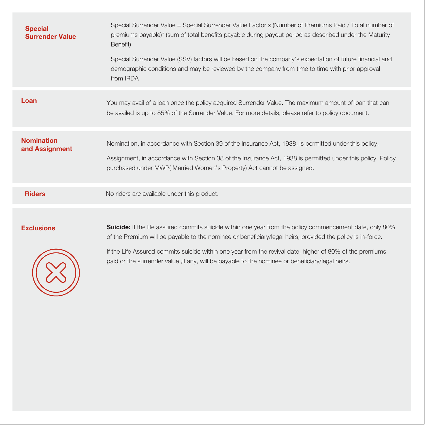| <b>Special</b><br><b>Surrender Value</b> | Special Surrender Value = Special Surrender Value Factor x (Number of Premiums Paid / Total number of<br>premiums payable)* (sum of total benefits payable during payout period as described under the Maturity<br>Benefit)<br>Special Surrender Value (SSV) factors will be based on the company's expectation of future financial and<br>demographic conditions and may be reviewed by the company from time to time with prior approval<br>from IRDA |
|------------------------------------------|---------------------------------------------------------------------------------------------------------------------------------------------------------------------------------------------------------------------------------------------------------------------------------------------------------------------------------------------------------------------------------------------------------------------------------------------------------|
| Loan                                     | You may avail of a loan once the policy acquired Surrender Value. The maximum amount of loan that can<br>be availed is up to 85% of the Surrender Value. For more details, please refer to policy document.                                                                                                                                                                                                                                             |
| <b>Nomination</b><br>and Assignment      | Nomination, in accordance with Section 39 of the Insurance Act, 1938, is permitted under this policy.<br>Assignment, in accordance with Section 38 of the Insurance Act, 1938 is permitted under this policy. Policy<br>purchased under MWP(Married Women's Property) Act cannot be assigned.                                                                                                                                                           |
| <b>Riders</b>                            | No riders are available under this product.                                                                                                                                                                                                                                                                                                                                                                                                             |
| <b>Exclusions</b>                        | <b>Suicide:</b> If the life assured commits suicide within one year from the policy commencement date, only 80%<br>of the Premium will be payable to the nominee or beneficiary/legal heirs, provided the policy is in-force.<br>If the Life Assured commits suicide within one year from the revival date, higher of 80% of the premiums<br>paid or the surrender value , if any, will be payable to the nominee or beneficiary/legal heirs.           |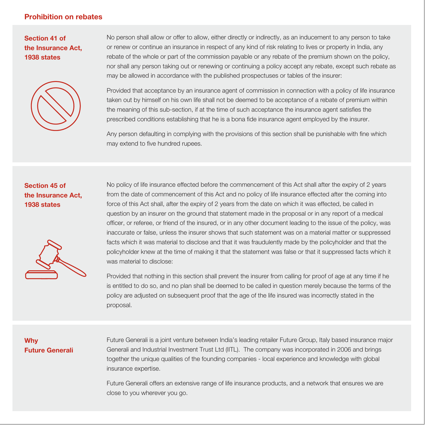# **Prohibition on rebates**

**Section 41 of the Insurance Act, 1938 states**



No person shall allow or offer to allow, either directly or indirectly, as an inducement to any person to take or renew or continue an insurance in respect of any kind of risk relating to lives or property in India, any rebate of the whole or part of the commission payable or any rebate of the premium shown on the policy, nor shall any person taking out or renewing or continuing a policy accept any rebate, except such rebate as may be allowed in accordance with the published prospectuses or tables of the insurer:

Provided that acceptance by an insurance agent of commission in connection with a policy of life insurance taken out by himself on his own life shall not be deemed to be acceptance of a rebate of premium within the meaning of this sub-section, if at the time of such acceptance the insurance agent satisfies the prescribed conditions establishing that he is a bona fide insurance agent employed by the insurer.

Any person defaulting in complying with the provisions of this section shall be punishable with fine which may extend to five hundred rupees.

# **Section 45 of the Insurance Act, 1938 states**



No policy of life insurance effected before the commencement of this Act shall after the expiry of 2 years from the date of commencement of this Act and no policy of life insurance effected after the coming into force of this Act shall, after the expiry of 2 years from the date on which it was effected, be called in question by an insurer on the ground that statement made in the proposal or in any report of a medical officer, or referee, or friend of the insured, or in any other document leading to the issue of the policy, was inaccurate or false, unless the insurer shows that such statement was on a material matter or suppressed facts which it was material to disclose and that it was fraudulently made by the policyholder and that the policyholder knew at the time of making it that the statement was false or that it suppressed facts which it was material to disclose:

Provided that nothing in this section shall prevent the insurer from calling for proof of age at any time if he is entitled to do so, and no plan shall be deemed to be called in question merely because the terms of the policy are adjusted on subsequent proof that the age of the life insured was incorrectly stated in the proposal.

# **Why Future Generali**

Future Generali is a joint venture between India's leading retailer Future Group, Italy based insurance major Generali and Industrial Investment Trust Ltd (IITL). The company was incorporated in 2006 and brings together the unique qualities of the founding companies - local experience and knowledge with global insurance expertise.

Future Generali offers an extensive range of life insurance products, and a network that ensures we are close to you wherever you go.